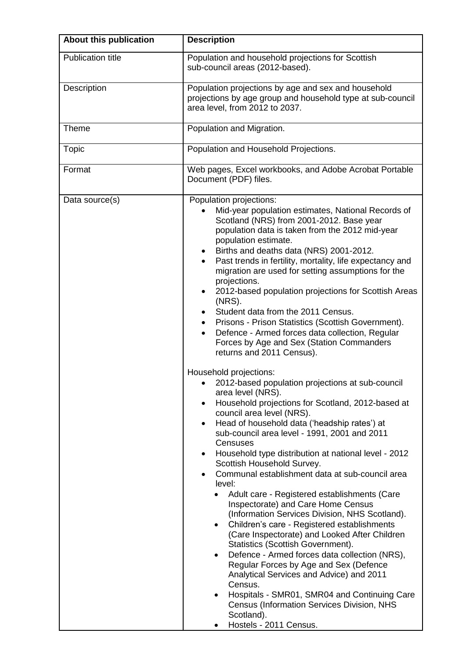| About this publication   | <b>Description</b>                                                                                                                                                                                                                                                                                                                                                                                                                                                                                                                                                                                                                                                                                                                                                                                                                                                                                                                                                                                                                                                                                                                                                                                                                                                                                                                                                                                                                                                                                                                                                                                                                                                                                                                                                                                 |
|--------------------------|----------------------------------------------------------------------------------------------------------------------------------------------------------------------------------------------------------------------------------------------------------------------------------------------------------------------------------------------------------------------------------------------------------------------------------------------------------------------------------------------------------------------------------------------------------------------------------------------------------------------------------------------------------------------------------------------------------------------------------------------------------------------------------------------------------------------------------------------------------------------------------------------------------------------------------------------------------------------------------------------------------------------------------------------------------------------------------------------------------------------------------------------------------------------------------------------------------------------------------------------------------------------------------------------------------------------------------------------------------------------------------------------------------------------------------------------------------------------------------------------------------------------------------------------------------------------------------------------------------------------------------------------------------------------------------------------------------------------------------------------------------------------------------------------------|
| <b>Publication title</b> | Population and household projections for Scottish<br>sub-council areas (2012-based).                                                                                                                                                                                                                                                                                                                                                                                                                                                                                                                                                                                                                                                                                                                                                                                                                                                                                                                                                                                                                                                                                                                                                                                                                                                                                                                                                                                                                                                                                                                                                                                                                                                                                                               |
| Description              | Population projections by age and sex and household<br>projections by age group and household type at sub-council<br>area level, from 2012 to 2037.                                                                                                                                                                                                                                                                                                                                                                                                                                                                                                                                                                                                                                                                                                                                                                                                                                                                                                                                                                                                                                                                                                                                                                                                                                                                                                                                                                                                                                                                                                                                                                                                                                                |
| Theme                    | Population and Migration.                                                                                                                                                                                                                                                                                                                                                                                                                                                                                                                                                                                                                                                                                                                                                                                                                                                                                                                                                                                                                                                                                                                                                                                                                                                                                                                                                                                                                                                                                                                                                                                                                                                                                                                                                                          |
| <b>Topic</b>             | Population and Household Projections.                                                                                                                                                                                                                                                                                                                                                                                                                                                                                                                                                                                                                                                                                                                                                                                                                                                                                                                                                                                                                                                                                                                                                                                                                                                                                                                                                                                                                                                                                                                                                                                                                                                                                                                                                              |
| Format                   | Web pages, Excel workbooks, and Adobe Acrobat Portable<br>Document (PDF) files.                                                                                                                                                                                                                                                                                                                                                                                                                                                                                                                                                                                                                                                                                                                                                                                                                                                                                                                                                                                                                                                                                                                                                                                                                                                                                                                                                                                                                                                                                                                                                                                                                                                                                                                    |
| Data source(s)           | Population projections:<br>Mid-year population estimates, National Records of<br>Scotland (NRS) from 2001-2012. Base year<br>population data is taken from the 2012 mid-year<br>population estimate.<br>Births and deaths data (NRS) 2001-2012.<br>Past trends in fertility, mortality, life expectancy and<br>migration are used for setting assumptions for the<br>projections.<br>2012-based population projections for Scottish Areas<br>$\bullet$<br>$(NRS)$ .<br>Student data from the 2011 Census.<br>Prisons - Prison Statistics (Scottish Government).<br>٠<br>Defence - Armed forces data collection, Regular<br>$\bullet$<br>Forces by Age and Sex (Station Commanders<br>returns and 2011 Census).<br>Household projections:<br>2012-based population projections at sub-council<br>area level (NRS).<br>Household projections for Scotland, 2012-based at<br>council area level (NRS).<br>Head of household data ('headship rates') at<br>$\bullet$<br>sub-council area level - 1991, 2001 and 2011<br>Censuses<br>Household type distribution at national level - 2012<br>Scottish Household Survey.<br>Communal establishment data at sub-council area<br>$\bullet$<br>level:<br>Adult care - Registered establishments (Care<br>$\bullet$<br>Inspectorate) and Care Home Census<br>(Information Services Division, NHS Scotland).<br>Children's care - Registered establishments<br>(Care Inspectorate) and Looked After Children<br>Statistics (Scottish Government).<br>Defence - Armed forces data collection (NRS),<br>$\bullet$<br>Regular Forces by Age and Sex (Defence<br>Analytical Services and Advice) and 2011<br>Census.<br>Hospitals - SMR01, SMR04 and Continuing Care<br><b>Census (Information Services Division, NHS</b><br>Scotland).<br>Hostels - 2011 Census. |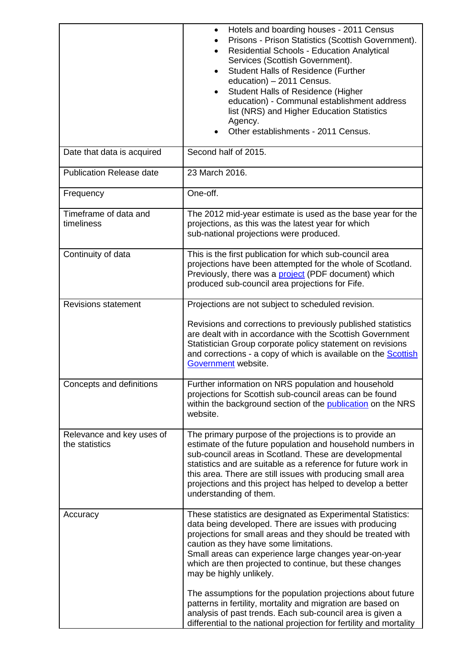|                                             | Hotels and boarding houses - 2011 Census<br>Prisons - Prison Statistics (Scottish Government).<br><b>Residential Schools - Education Analytical</b><br>Services (Scottish Government).<br><b>Student Halls of Residence (Further</b><br>$\bullet$<br>education) - 2011 Census.<br><b>Student Halls of Residence (Higher</b><br>education) - Communal establishment address<br>list (NRS) and Higher Education Statistics<br>Agency.<br>Other establishments - 2011 Census.                                                                                              |
|---------------------------------------------|-------------------------------------------------------------------------------------------------------------------------------------------------------------------------------------------------------------------------------------------------------------------------------------------------------------------------------------------------------------------------------------------------------------------------------------------------------------------------------------------------------------------------------------------------------------------------|
| Date that data is acquired                  | Second half of 2015.                                                                                                                                                                                                                                                                                                                                                                                                                                                                                                                                                    |
| <b>Publication Release date</b>             | 23 March 2016.                                                                                                                                                                                                                                                                                                                                                                                                                                                                                                                                                          |
| Frequency                                   | One-off.                                                                                                                                                                                                                                                                                                                                                                                                                                                                                                                                                                |
| Timeframe of data and<br>timeliness         | The 2012 mid-year estimate is used as the base year for the<br>projections, as this was the latest year for which<br>sub-national projections were produced.                                                                                                                                                                                                                                                                                                                                                                                                            |
| Continuity of data                          | This is the first publication for which sub-council area<br>projections have been attempted for the whole of Scotland.<br>Previously, there was a project (PDF document) which<br>produced sub-council area projections for Fife.                                                                                                                                                                                                                                                                                                                                       |
| <b>Revisions statement</b>                  | Projections are not subject to scheduled revision.<br>Revisions and corrections to previously published statistics<br>are dealt with in accordance with the Scottish Government<br>Statistician Group corporate policy statement on revisions<br>and corrections - a copy of which is available on the <b>Scottish</b><br>Government website.                                                                                                                                                                                                                           |
| Concepts and definitions                    | Further information on NRS population and household<br>projections for Scottish sub-council areas can be found<br>within the background section of the publication on the NRS<br>website.                                                                                                                                                                                                                                                                                                                                                                               |
| Relevance and key uses of<br>the statistics | The primary purpose of the projections is to provide an<br>estimate of the future population and household numbers in<br>sub-council areas in Scotland. These are developmental<br>statistics and are suitable as a reference for future work in<br>this area. There are still issues with producing small area<br>projections and this project has helped to develop a better<br>understanding of them.                                                                                                                                                                |
| Accuracy                                    | These statistics are designated as Experimental Statistics:<br>data being developed. There are issues with producing<br>projections for small areas and they should be treated with<br>caution as they have some limitations.<br>Small areas can experience large changes year-on-year<br>which are then projected to continue, but these changes<br>may be highly unlikely.<br>The assumptions for the population projections about future<br>patterns in fertility, mortality and migration are based on<br>analysis of past trends. Each sub-council area is given a |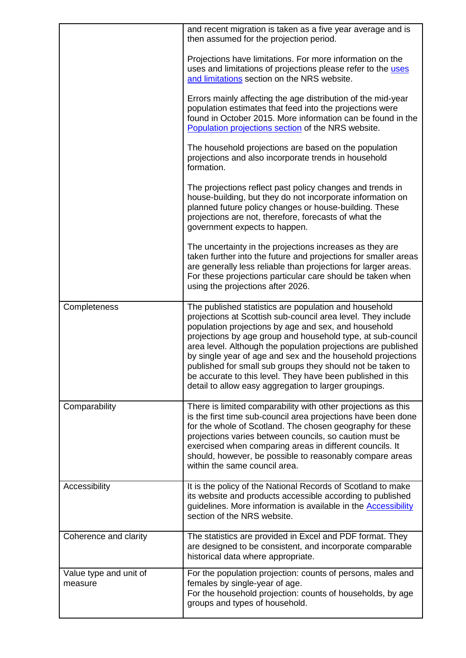|                                   | and recent migration is taken as a five year average and is<br>then assumed for the projection period.                                                                                                                                                                                                                                                                                                                                                                                                                                                             |
|-----------------------------------|--------------------------------------------------------------------------------------------------------------------------------------------------------------------------------------------------------------------------------------------------------------------------------------------------------------------------------------------------------------------------------------------------------------------------------------------------------------------------------------------------------------------------------------------------------------------|
|                                   | Projections have limitations. For more information on the<br>uses and limitations of projections please refer to the uses<br>and limitations section on the NRS website.                                                                                                                                                                                                                                                                                                                                                                                           |
|                                   | Errors mainly affecting the age distribution of the mid-year<br>population estimates that feed into the projections were<br>found in October 2015. More information can be found in the<br>Population projections section of the NRS website.                                                                                                                                                                                                                                                                                                                      |
|                                   | The household projections are based on the population<br>projections and also incorporate trends in household<br>formation.                                                                                                                                                                                                                                                                                                                                                                                                                                        |
|                                   | The projections reflect past policy changes and trends in<br>house-building, but they do not incorporate information on<br>planned future policy changes or house-building. These<br>projections are not, therefore, forecasts of what the<br>government expects to happen.                                                                                                                                                                                                                                                                                        |
|                                   | The uncertainty in the projections increases as they are<br>taken further into the future and projections for smaller areas<br>are generally less reliable than projections for larger areas.<br>For these projections particular care should be taken when<br>using the projections after 2026.                                                                                                                                                                                                                                                                   |
| Completeness                      | The published statistics are population and household<br>projections at Scottish sub-council area level. They include<br>population projections by age and sex, and household<br>projections by age group and household type, at sub-council<br>area level. Although the population projections are published<br>by single year of age and sex and the household projections<br>published for small sub groups they should not be taken to<br>be accurate to this level. They have been published in this<br>detail to allow easy aggregation to larger groupings. |
| Comparability                     | There is limited comparability with other projections as this<br>is the first time sub-council area projections have been done<br>for the whole of Scotland. The chosen geography for these<br>projections varies between councils, so caution must be<br>exercised when comparing areas in different councils. It<br>should, however, be possible to reasonably compare areas<br>within the same council area.                                                                                                                                                    |
| Accessibility                     | It is the policy of the National Records of Scotland to make<br>its website and products accessible according to published<br>guidelines. More information is available in the <b>Accessibility</b><br>section of the NRS website.                                                                                                                                                                                                                                                                                                                                 |
| Coherence and clarity             | The statistics are provided in Excel and PDF format. They<br>are designed to be consistent, and incorporate comparable<br>historical data where appropriate.                                                                                                                                                                                                                                                                                                                                                                                                       |
| Value type and unit of<br>measure | For the population projection: counts of persons, males and<br>females by single-year of age.<br>For the household projection: counts of households, by age<br>groups and types of household.                                                                                                                                                                                                                                                                                                                                                                      |